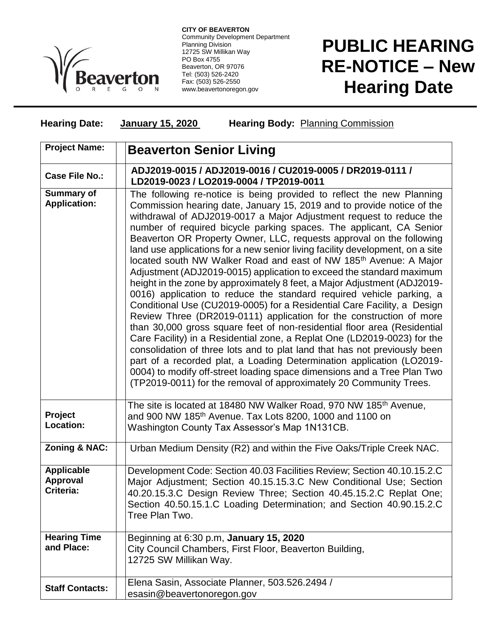

**CITY OF BEAVERTON** Community Development Department Planning Division 12725 SW Millikan Way PO Box 4755 Beaverton, OR 97076 Tel: (503) 526-2420 Fax: (503) 526-2550 www.beavertonoregon.gov

## **PUBLIC HEARING RE-NOTICE – New Hearing Date**

## **Hearing Date: January 15, 2020 Hearing Body:** Planning Commission

| <b>Project Name:</b>                              | <b>Beaverton Senior Living</b>                                                                                                                                                                                                                                                                                                                                                                                                                                                                                                                                                                                                                                                                                                                                                                                                                                                                                                                                                                                                                                                                                                                                                                                                                                                                                                                                                       |
|---------------------------------------------------|--------------------------------------------------------------------------------------------------------------------------------------------------------------------------------------------------------------------------------------------------------------------------------------------------------------------------------------------------------------------------------------------------------------------------------------------------------------------------------------------------------------------------------------------------------------------------------------------------------------------------------------------------------------------------------------------------------------------------------------------------------------------------------------------------------------------------------------------------------------------------------------------------------------------------------------------------------------------------------------------------------------------------------------------------------------------------------------------------------------------------------------------------------------------------------------------------------------------------------------------------------------------------------------------------------------------------------------------------------------------------------------|
| <b>Case File No.:</b>                             | ADJ2019-0015 / ADJ2019-0016 / CU2019-0005 / DR2019-0111 /<br>LD2019-0023 / LO2019-0004 / TP2019-0011                                                                                                                                                                                                                                                                                                                                                                                                                                                                                                                                                                                                                                                                                                                                                                                                                                                                                                                                                                                                                                                                                                                                                                                                                                                                                 |
| <b>Summary of</b><br><b>Application:</b>          | The following re-notice is being provided to reflect the new Planning<br>Commission hearing date, January 15, 2019 and to provide notice of the<br>withdrawal of ADJ2019-0017 a Major Adjustment request to reduce the<br>number of required bicycle parking spaces. The applicant, CA Senior<br>Beaverton OR Property Owner, LLC, requests approval on the following<br>land use applications for a new senior living facility development, on a site<br>located south NW Walker Road and east of NW 185 <sup>th</sup> Avenue: A Major<br>Adjustment (ADJ2019-0015) application to exceed the standard maximum<br>height in the zone by approximately 8 feet, a Major Adjustment (ADJ2019-<br>0016) application to reduce the standard required vehicle parking, a<br>Conditional Use (CU2019-0005) for a Residential Care Facility, a Design<br>Review Three (DR2019-0111) application for the construction of more<br>than 30,000 gross square feet of non-residential floor area (Residential<br>Care Facility) in a Residential zone, a Replat One (LD2019-0023) for the<br>consolidation of three lots and to plat land that has not previously been<br>part of a recorded plat, a Loading Determination application (LO2019-<br>0004) to modify off-street loading space dimensions and a Tree Plan Two<br>(TP2019-0011) for the removal of approximately 20 Community Trees. |
| Project<br>Location:                              | The site is located at 18480 NW Walker Road, 970 NW 185 <sup>th</sup> Avenue,<br>and 900 NW 185 <sup>th</sup> Avenue. Tax Lots 8200, 1000 and 1100 on<br>Washington County Tax Assessor's Map 1N131CB.                                                                                                                                                                                                                                                                                                                                                                                                                                                                                                                                                                                                                                                                                                                                                                                                                                                                                                                                                                                                                                                                                                                                                                               |
| <b>Zoning &amp; NAC:</b>                          | Urban Medium Density (R2) and within the Five Oaks/Triple Creek NAC.                                                                                                                                                                                                                                                                                                                                                                                                                                                                                                                                                                                                                                                                                                                                                                                                                                                                                                                                                                                                                                                                                                                                                                                                                                                                                                                 |
| <b>Applicable</b><br><b>Approval</b><br>Criteria: | Development Code: Section 40.03 Facilities Review; Section 40.10.15.2.C<br>Major Adjustment; Section 40.15.15.3.C New Conditional Use; Section<br>40.20.15.3.C Design Review Three; Section 40.45.15.2.C Replat One;<br>Section 40.50.15.1.C Loading Determination; and Section 40.90.15.2.C<br>Tree Plan Two.                                                                                                                                                                                                                                                                                                                                                                                                                                                                                                                                                                                                                                                                                                                                                                                                                                                                                                                                                                                                                                                                       |
| <b>Hearing Time</b><br>and Place:                 | Beginning at 6:30 p.m, January 15, 2020<br>City Council Chambers, First Floor, Beaverton Building,<br>12725 SW Millikan Way.                                                                                                                                                                                                                                                                                                                                                                                                                                                                                                                                                                                                                                                                                                                                                                                                                                                                                                                                                                                                                                                                                                                                                                                                                                                         |
| <b>Staff Contacts:</b>                            | Elena Sasin, Associate Planner, 503.526.2494 /<br>esasin@beavertonoregon.gov                                                                                                                                                                                                                                                                                                                                                                                                                                                                                                                                                                                                                                                                                                                                                                                                                                                                                                                                                                                                                                                                                                                                                                                                                                                                                                         |